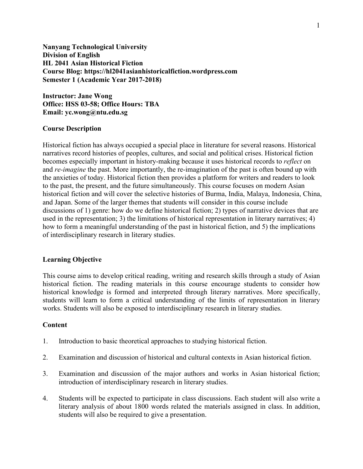**Nanyang Technological University Division of English HL 2041 Asian Historical Fiction Course Blog: https://hl2041asianhistoricalfiction.wordpress.com Semester 1 (Academic Year 2017-2018)**

**Instructor: Jane Wong Office: HSS 03-58; Office Hours: TBA Email: yc.wong@ntu.edu.sg**

#### **Course Description**

Historical fiction has always occupied a special place in literature for several reasons. Historical narratives record histories of peoples, cultures, and social and political crises. Historical fiction becomes especially important in history-making because it uses historical records to *reflect* on and *re-imagine* the past. More importantly, the re-imagination of the past is often bound up with the anxieties of today. Historical fiction then provides a platform for writers and readers to look to the past, the present, and the future simultaneously. This course focuses on modern Asian historical fiction and will cover the selective histories of Burma, India, Malaya, Indonesia, China, and Japan. Some of the larger themes that students will consider in this course include discussions of 1) genre: how do we define historical fiction; 2) types of narrative devices that are used in the representation; 3) the limitations of historical representation in literary narratives; 4) how to form a meaningful understanding of the past in historical fiction, and 5) the implications of interdisciplinary research in literary studies.

# **Learning Objective**

This course aims to develop critical reading, writing and research skills through a study of Asian historical fiction. The reading materials in this course encourage students to consider how historical knowledge is formed and interpreted through literary narratives. More specifically, students will learn to form a critical understanding of the limits of representation in literary works. Students will also be exposed to interdisciplinary research in literary studies.

#### **Content**

- 1. Introduction to basic theoretical approaches to studying historical fiction.
- 2. Examination and discussion of historical and cultural contexts in Asian historical fiction.
- 3. Examination and discussion of the major authors and works in Asian historical fiction; introduction of interdisciplinary research in literary studies.
- 4. Students will be expected to participate in class discussions. Each student will also write a literary analysis of about 1800 words related the materials assigned in class. In addition, students will also be required to give a presentation.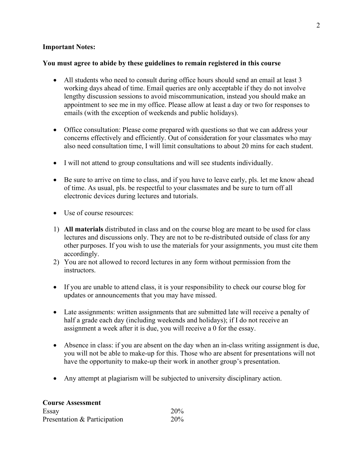## **Important Notes:**

## **You must agree to abide by these guidelines to remain registered in this course**

- All students who need to consult during office hours should send an email at least 3 working days ahead of time. Email queries are only acceptable if they do not involve lengthy discussion sessions to avoid miscommunication, instead you should make an appointment to see me in my office. Please allow at least a day or two for responses to emails (with the exception of weekends and public holidays).
- Office consultation: Please come prepared with questions so that we can address your concerns effectively and efficiently. Out of consideration for your classmates who may also need consultation time, I will limit consultations to about 20 mins for each student.
- I will not attend to group consultations and will see students individually.
- Be sure to arrive on time to class, and if you have to leave early, pls. let me know ahead of time. As usual, pls. be respectful to your classmates and be sure to turn off all electronic devices during lectures and tutorials.
- Use of course resources:
- 1) **All materials** distributed in class and on the course blog are meant to be used for class lectures and discussions only. They are not to be re-distributed outside of class for any other purposes. If you wish to use the materials for your assignments, you must cite them accordingly.
- 2) You are not allowed to record lectures in any form without permission from the instructors.
- If you are unable to attend class, it is your responsibility to check our course blog for updates or announcements that you may have missed.
- Late assignments: written assignments that are submitted late will receive a penalty of half a grade each day (including weekends and holidays); if I do not receive an assignment a week after it is due, you will receive a 0 for the essay.
- Absence in class: if you are absent on the day when an in-class writing assignment is due, you will not be able to make-up for this. Those who are absent for presentations will not have the opportunity to make-up their work in another group's presentation.
- Any attempt at plagiarism will be subjected to university disciplinary action.

| <b>Course Assessment</b>     |            |
|------------------------------|------------|
| Essay                        | <b>20%</b> |
| Presentation & Participation | <b>20%</b> |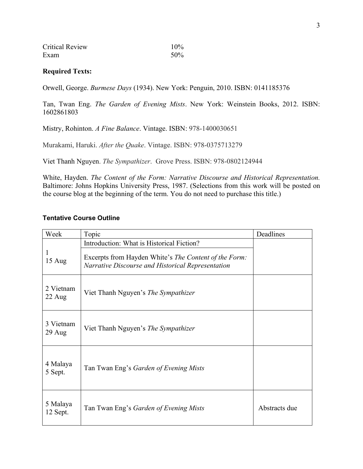| <b>Critical Review</b> | 10% |
|------------------------|-----|
| Exam                   | 50% |

## **Required Texts:**

Orwell, George. *Burmese Days* (1934). New York: Penguin, 2010. ISBN: 0141185376

Tan, Twan Eng. *The Garden of Evening Mists*. New York: Weinstein Books, 2012. ISBN: 1602861803

Mistry, Rohinton. *A Fine Balance*. Vintage. ISBN: 978-1400030651

Murakami, Haruki. *After the Quake*. Vintage. ISBN: 978-0375713279

Viet Thanh Nguyen. *The Sympathizer*. Grove Press. ISBN: 978-0802124944

White, Hayden. *The Content of the Form: Narrative Discourse and Historical Representation.* Baltimore: Johns Hopkins University Press, 1987. (Selections from this work will be posted on the course blog at the beginning of the term. You do not need to purchase this title.)

#### **Tentative Course Outline**

| Week                 | Topic                                                                                              | Deadlines     |
|----------------------|----------------------------------------------------------------------------------------------------|---------------|
| 15 Aug               | Introduction: What is Historical Fiction?<br>Excerpts from Hayden White's The Content of the Form: |               |
|                      | Narrative Discourse and Historical Representation                                                  |               |
| 2 Vietnam<br>22 Aug  | Viet Thanh Nguyen's The Sympathizer                                                                |               |
| 3 Vietnam<br>29 Aug  | Viet Thanh Nguyen's <i>The Sympathizer</i>                                                         |               |
| 4 Malaya<br>5 Sept.  | Tan Twan Eng's <i>Garden of Evening Mists</i>                                                      |               |
| 5 Malaya<br>12 Sept. | Tan Twan Eng's Garden of Evening Mists                                                             | Abstracts due |